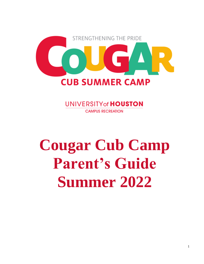

**UNIVERSITY of HOUSTON CAMPUS RECREATION** 

# **Cougar Cub Camp Parent's Guide Summer 2022**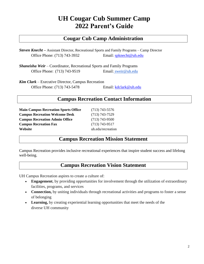# **UH Cougar Cub Summer Camp 2022 Parent's Guide**

# **Cougar Cub Camp Administration**

*Steven Knecht –* Assistant Director, Recreational Sports and Family Programs – Camp Director Office Phone: (713) 743-3932 Email: [spknecht@uh.edu](mailto:spknecht@uh.edu)

*Shaneisha Weir* – Coordinator, Recreational Sports and Family Programs Office Phone: (713) 743-9519 Email: sweir@uh.edu

*Kim Clark* – Executive Director, Campus Recreation Office Phone: (713) 743-5478 Email: [kdclark@uh.edu](mailto:kdclark@uh.edu)

## **Campus Recreation Contact Information**

| <b>Main Campus Recreation Sports Office</b> |
|---------------------------------------------|
| <b>Campus Recreation Welcome Desk</b>       |
| <b>Campus Recreation Admin Office</b>       |
| <b>Campus Recreation Fax</b>                |
| Website                                     |

**Main Campus Recreation Sports Office** (713) 743-5576 **Campus Recreation Welcome Desk** (713) 743-7529 **Campus Recreation Admin Office** (713) 743-9500 **Campus Recreation Fax** (713) 743-9517 uh.edu/recreation

# **Campus Recreation Mission Statement**

Campus Recreation provides inclusive recreational experiences that inspire student success and lifelong well-being.

## **Campus Recreation Vision Statement**

UH Campus Recreation aspires to create a culture of:

- **Engagement**, by providing opportunities for involvement through the utilization of extraordinary facilities, programs, and services
- **Connection,** by uniting individuals through recreational activities and programs to foster a sense of belonging
- **Learning,** by creating experiential learning opportunities that meet the needs of the diverse UH community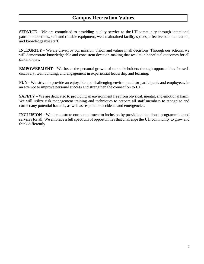# **Campus Recreation Values**

**SERVICE** – We are committed to providing quality service to the UH community through intentional patron interactions, safe and reliable equipment, well-maintained facility spaces, effective communication, and knowledgeable staff.

**INTEGRITY** – We are driven by our mission, vision and values in all decisions. Through our actions, we will demonstrate knowledgeable and consistent decision-making that results in beneficial outcomes for all stakeholders.

**EMPOWERMENT** – We foster the personal growth of our stakeholders through opportunities for selfdiscovery, teambuilding, and engagement in experiential leadership and learning.

**FUN** - We strive to provide an enjoyable and challenging environment for participants and employees, in an attempt to improve personal success and strengthen the connection to UH.

**SAFETY** – We are dedicated to providing an environment free from physical, mental, and emotional harm. We will utilize risk management training and techniques to prepare all staff members to recognize and correct any potential hazards, as well as respond to accidents and emergencies.

**INCLUSION** – We demonstrate our commitment to inclusion by providing intentional programming and services for all. We embrace a full spectrum of opportunities that challenge the UH community to grow and think differently.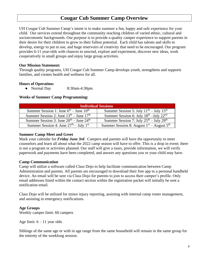## **Cougar Cub Summer Camp Overview**

UH Cougar Cub Summer Camp's intent is to make summer a fun, happy and safe experience for your child. Our services extend throughout the community reaching children of varied ethnic, cultural and socioeconomic backgrounds. Our *purpose* is to provide a quality camper experience to support parents in their desire for their children to grow to their fullest potential. Each child has talents and skills to develop, energy to put to use, and huge reservoirs of creativity that need to be encouraged. Our program provides 6-11 year-olds with chances to unwind, explore and experiment, discover new ideas, work cooperatively in small groups and enjoy large group activities.

#### **Our Mission Statement:**

Through quality programs, UH Cougar Cub Summer Camp develops youth, strengthens and supports families, and creates health and wellness for all.

#### **Hours of Operation:**

● Normal Day 8:30am-4:30pm

#### **Weeks of Summer Camp Programming:**

| <b>Individual Sessions</b>                        |                                                                 |
|---------------------------------------------------|-----------------------------------------------------------------|
| Summer Session 1: June $6th$ – June $10th$        | Summer Session 5: July $11^{th}$ – July $15^{th}$               |
| Summer Session 2: June $13th$ – June $17th$       | Summer Session 6: July $18^{th}$ -July $22^{nd}$                |
| Summer Session 3: June $20^{th}$ – June $24^{th}$ | Summer Session 7: July $25^{\text{th}}$ – July $29^{\text{th}}$ |
| Summer Session 4: June $27th - July 1st$          | Summer Session 8: August $1st$ – August $5th$                   |

#### **Summer Camp Meet and Greet**

Mark your calendar for *Friday June 3rd*. Campers and parents will have the opportunity to meet counselors and learn all about what the 2022 camp season will have to offer. This is a drop in event; there is not a program or activities planned. Our staff will give a tours, provide information, we will verify paperwork and payments have been completed, and answer any questions you or your child may have.

#### **Camp Communication**

Camp will utilize a software called Class Dojo to help facilitate communication between Camp Administration and parents. All parents are encouraged to download their free app to a personal handheld device. An email will be sent via Class Dojo for parents to join to access their camper's profile. Only email addresses listed within the contact section within the registration packet will initially be sent a notification email.

Class Dojo will be utilized for minor injury reporting, assisting with internal camp roster management, and assisting in emergency notifications.

#### **Age Groups**

Weekly camper limit: 60 campers

Age limit:  $6 - 11$  year olds

Siblings of the same age or with in age range from the same household will remain in the same group for the entirety of the weeklong session.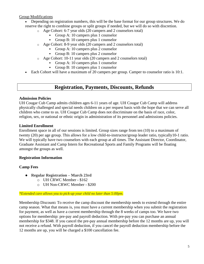#### Group Modifications

- Depending on registration numbers, this will be the base format for our group structures. We do reserve the right to combine groups or split groups if needed, but we will do so with discretion.
	- o Age Cohort: 6-7 year olds (20 campers and 2 counselors total)
		- Group A: 10 campers plus 1 counselor
		- Group B: 10 campers plus 1 counselor
		- o Age Cohort: 8-9 year olds (20 campers and 2 counselors total)
			- Group A: 10 campers plus 2 counselor
			- Group B: 10 campers plus 2 counselor
	- o Age Cohort: 10-11 year olds (20 campers and 2 counselors total)
		- Group A: 10 campers plus 1 counselor
		- Group B: 10 campers plus 1 counselor
- Each Cohort will have a maximum of 20 campers per group. Camper to counselor ratio is 10:1.

## **Registration, Payments, Discounts, Refunds**

#### **Admission Policies**

UH Cougar Cub Camp admits children ages 6-11 years of age. UH Cougar Cub Camp will address physically challenged and special needs children on a per request basis with the hope that we can serve all children who come to us. UH Cougar Cub Camp does not discriminate on the basis of race, color, religion, sex, or national or ethnic origin in administration of its personnel and admissions policies.

#### **Limited Enrollment**

Enrollment space in all of our sessions is limited. Group sizes range from ten (10) to a maximum of twenty (20) per age group. This allows for a low child-to-instructor/group leader ratio, typically10-1 ratio. We will typically have two counselors with each group at all times. The Assistant Director, Coordinator, Graduate Assistant and Camp Intern for Recreational Sports and Family Programs will be floating amongst the groups as well.

## **Registration Information**

## **Camp Fees**

- **Regular Registration – March 23rd**
	- o UH CRWC Member \$162
	- o UH Non-CRWC Member \$200

#### *\*Extended care allows you to pick-up your child no later than 5:00pm.*

Membership Discount**:** To receive the camp discount the membership needs to extend through the entire camp season. What that means is, you must have a current membership when you submit the registration for payment, as well as have a current membership through the 8 weeks of camps too. We have two options for membership: pre-pay and payroll deduction. With pre-pay you can purchase an annual membership for \$348. If you cancel the pre-pay annual membership before the 12 months are up, you will not receive a refund. With payroll deduction, if you cancel the payroll deduction membership before the 12 months are up, you will be charged a \$100 cancellation fee.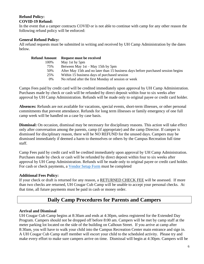#### **Refund Policy: COVID-19 Refund:**

In the event that a camper contracts COVID or is not able to continue with camp for any other reason the following refund policy will be enforced:

#### **General Refund Policy:**

All refund requests must be submitted in writing and received by UH Camp Administration by the dates below.

| <b>Refund Amount</b> | <b>Request must be received</b>                                                   |
|----------------------|-----------------------------------------------------------------------------------|
| 100%                 | May 1st by 5pm                                                                    |
| 75%                  | Between May $1st - May 15th by 5pm$                                               |
| 50%                  | After May 15th and no later than 15 business days before purchased session begins |
| 25%                  | Within 15 business days of purchased session                                      |
| 0%                   | No refund after the first Monday of session or week                               |

Camps Fees paid by credit card will be credited immediately upon approval by UH Camp Administration. Purchases made by check or cash will be refunded by direct deposit within four to six weeks after approval by UH Camp Administration. Refunds will be made only to original payee or credit card holder.

**Absences:** Refunds are not available for vacations, special events, short-term illnesses, or other personal commitments that prevent attendance. Refunds for long term illnesses or family emergency of one full camp week will be handled on a case by case basis.

**Dismissal:** On occasion, dismissal may be necessary for disciplinary reasons. This action will take effect only after conversation among the parents, camp (if appropriate) and the camp Director. If camper is dismissed for disciplinary reason, there will be NO REFUND for the unused days. Campers may be dismissed immediately if deemed a harm to themselves or others by the Campus Recreation full time staff.

Camp Fees paid by credit card will be credited immediately upon approval by UH Camp Administration. Purchases made by check or cash will be refunded by direct deposit within four to six weeks after approval by UH Camp Administration. Refunds will be made only to original payee or credit card holder. For cash or check payments, a [Vendor Setup Form](http://www.uh.edu/finance/Forms/Individual%20Setup%20Form.pdf) must be completed

## **Additional Fees Policy:**

If your check or draft is returned for any reason, a RETURNED CHECK FEE will be assessed. If more than two checks are returned, UH Cougar Cub Camp will be unable to accept your personal checks. At that time, all future payments must be paid in cash or money order.

# **Daily Camp Procedures for Parents and Campers**

## **Arrival and Dismissal**

UH Cougar Cub Camp begins at 8:30am and ends at 4:30pm, unless registered for the Extended Day Program. Campers should not be dropped off before 8:00 am. Campers will be met by camp staff at the meter parking lot located on the side of the building on Calhoun Street. If you arrive at camp after 8:30am, you will have to walk your child into the Campus Recreation Center main entrance and sign in. A UH Cougar Cub Camp staff member will escort your child to the scheduled activity. Please try and make every effort to make sure campers arrive on time. Dismissal will begin at 4:30pm. Campers will be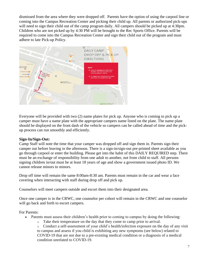dismissed from the area where they were dropped off. Parents have the option of using the carpool line or coming into the Campus Recreation Center and picking their child up. All parents or authorized pick-ups will need to sign their child out of the camp program daily. All campers should be picked up at 4:30pm. Children who are not picked up by 4:30 PM will be brought to the Rec Sports Office. Parents will be required to come into the Campus Recreation Center and sign their child out of the program and must adhere to late Pick-up Policy.



Everyone will be provided with two (2) name plates for pick up. Anyone who is coming to pick up a camper must have a name plate with the appropriate campers name listed on the plate. The name plate should be displayed on the front dash of the vehicle so campers can be called ahead of time and the pickup process can run smoothly and efficiently.

#### **Sign-In/Sign-Out:**

Camp Staff will note the time that your camper was dropped off and sign them in. Parents sign their camper out before leaving in the afternoon. There is a sign-in/sign-out pre-printed sheet available as you go through carpool or enter the building. Please get into the habit of this DAILY REQUIRED step. There must be an exchange of responsibility from one adult to another, not from child to staff. All persons signing children in/out must be at least 18 years of age and show a government issued photo ID. We cannot release minors to minors.

Drop off time will remain the same 8:00am-8:30 am. Parents must remain in the car and wear a face covering when interacting with staff during drop off and pick up.

Counselors will meet campers outside and escort them into their designated area.

Once one camper is in the CRWC, one counselor per cohort will remain in the CRWC and one counselor will go back and forth to escort campers.

For Parents:

- Parents must assess their children's health prior to coming to campus by doing the following:
	- o Take their temperature on the day that they come to camp prior to arrival.

o Conduct a self-assessment of your child's health/infection exposure on the day of any visit to campus and assess if you child is exhibiting any new symptoms (see below) related to COVID-19 that are not due to a pre-existing medical condition or a diagnosis of a medical condition unrelated to COVID-19.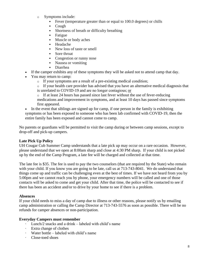- o Symptoms include:
	- Fever (temperature greater than or equal to 100.0 degrees) or chills
	- **Cough**
	- Shortness of breath or difficulty breathing
	- **Fatigue**
	- Muscle or body aches
	- Headache
	- New loss of taste or smell
	- Sore throat
	- Congestion or runny nose
	- Nausea or vomiting
	- Diarrhea
- If the camper exhibits any of these symptoms they will be asked not to attend camp that day.
- You may return to camp:
	- o If your symptoms are a result of a pre-existing medical condition;
	- $\circ$  If your health care provider has advised that you have an alternative medical diagnosis that is unrelated to COVID-19 and are no longer contagious; or
	- o If at least 24 hours has passed since last fever without the use of fever-reducing medications and improvement in symptoms, and at least 10 days has passed since symptoms first appeared.
- In the event that siblings are signed up for camp, if one person in the family is exhibiting symptoms or has been exposed to someone who has been lab confirmed with COVID-19, then the entire family has been exposed and cannot come to camp.

No parents or guardians will be permitted to visit the camp during or between camp sessions, except to drop-off and pick-up campers.

## **Late Pick Up Policy**

UH Cougar Cub Summer Camp understands that a late pick up may occur on a rare occasion. However, please understand that we open at 8:00am sharp and close at 4:30 PM sharp. If your child is not picked up by the end of the Camp Program, a late fee will be charged and collected at that time.

The late fee is \$35. The fee is used to pay the two counselors (that are required by the State) who remain with your child. If you know you are going to be late, call us at 713-743-8041. We do understand that things come up and traffic can be challenging even at the best of times. If we have not heard from you by 5:00pm and we cannot reach you by phone, your emergency numbers will be called and one of those contacts will be asked to come and get your child. After that time, the police will be contacted to see if there has been an accident and/or to drive by your home to see if there is a problem.

## **Absences**

If your child needs to miss a day of camp due to illness or other reasons, please notify us by emailing camp administration or calling the Camp Director at 713-743-5576 as soon as possible. There will be no refunds for camper absences or non-participation.

## **Everyday Campers must remember**

- · Lunch/2 snacks and a drink labeled with child's name
- Extra change of clothes
- · Water bottle labeled with child's name
- · Close-toed shoes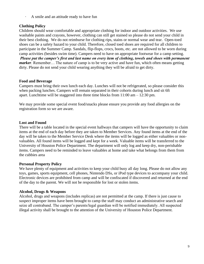· A smile and an attitude ready to have fun

## **Clothing Policy**

Children should wear comfortable and appropriate clothing for indoor and outdoor activities. We use washable paints and crayons, however, clothing can still get stained so please do not send your child in their best clothing. We do not reimburse for clothing rips, stains or normal wear and tear. Open-toed shoes can be a safety hazard to your child. Therefore, closed toed shoes are required for all children to participate in the Summer Camp. Sandals, flip-flops, crocs, boots, etc. are not allowed to be worn during camp activities (besides swim time). Campers need to have on appropriate footwear for a camp setting. *Please put the camper's first and last name on every item of clothing, towels and shoes with permanent marker*. Remember… The nature of camp is to be very active and have fun, which often means getting dirty. Please do not send your child wearing anything they will be afraid to get dirty.

#### **Food and Beverage**

Campers must bring their own lunch each day. Lunches will not be refrigerated, so please consider this when packing lunches. Campers will remain separated in their cohorts during lunch and sit 6ft apart. Lunchtime will be staggered into three time blocks from 11:00 am – 12:30 pm.

We may provide some special event food/snacks please ensure you provide any food allergies on the registration form so we are aware.

#### **Lost and Found**

There will be a table located in the special event hallways that campers will have the opportunity to claim items at the end of each day before they are taken to Member Services. Any found items at the end of the day will be taken to the Member Service Desk where the items will be logged as either valuables or nonvaluables. All found items will be logged and kept for a week. Valuable items will be transferred to the University of Houston Police Department. The department will only log and keep dry, non-perishable items. Campers need to be reminded to leave valuables at home and take what belongs from them from the cubbies area

#### **Personal Property Policy**

We have plenty of equipment and activities to keep your child busy all day long. Please do not allow any toys, games, sports equipment, cell phones, Nintendo DSs, or iPod type devices to accompany your child. Electronic devices are prohibited from camp and will be confiscated if discovered and returned at the end of the day to the parent. We will not be responsible for lost or stolen items.

#### **Alcohol, Drugs & Weapons**

Alcohol, drugs and weapons (includes replicas) are not permitted at the camp. If there is just cause to suspect improper items have been brought to camp the staff may conduct an administrative search and seize all contraband. The camper's parents/legal guardian will be notified immediately. All suspected illegal activity shall be brought to the attention of the University of Houston Police Department.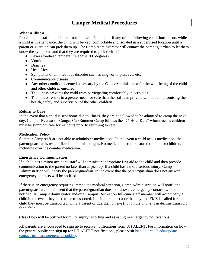## **Camper Medical Procedures**

#### **What is Illness**

Protecting all staff and children from illness is important. If any of the following conditions occurs while a child is in attendance, the child will be kept comfortable and isolated in a supervised location until a parent or guardian can pick them up. The Camp Administrator will contact the parent/guardian to let them know the symptoms and that they are required to pick their child up.

- Fever (forehead temperature above 100 degrees)
- Vomiting
- Diarrhea
- Head Lice
- Symptoms of an infectious disorder such as ringworm, pink eye, etc.
- Communicable disease
- Any other condition deemed necessary by the Camp Administrator for the well-being of the child and other children enrolled.
- The illness prevents the child from participating comfortably in activities.
- The illness results in a greater need for care than the staff can provide without compromising the health, safety and supervision of the other children.

#### **Return to Care**

In the event that a child is sent home due to illness, they are not allowed to be admitted to camp the next day. Campus Recreation Cougar Cub Summer Camp follows the "24 Hour Rule" which means children must be symptom free for 24 hours prior to returning to care.

#### **Medication Policy**

Summer Camp staff are not able to administer medications. In the event a child needs medication, the parent/guardian is responsible for administering it. No medications can be stored or held for children, including over the counter medication.

#### **Emergency Communication**

If a child has a minor accident, staff will administer appropriate first aid to the child and then provide communication to the parent no later than at pick up. If a child has a more serious injury, Camp Administration will notify the parent/guardian. In the event that the parent/guardian does not answer, emergency contacts will be notified.

If there is an emergency requiring immediate medical attention, Camp Administration will notify the parent/guardian. In the event that the parent/guardian does not answer, emergency contacts will be notified. A Camp Administrator and/or a Campus Recreation full-time staff member will accompany a child in the event they need to be transported. It is important to note that anytime EMS is called for a child they must be transported. Only a parent or guardian on site (not on the phone) can decline transport for a child.

Class Dojo will be utilized for minor injury reporting and assisting in emergency notifications.

All parents are encouraged to sign up to receive notifications from UH ALERT. For information on how the general public can sign up for UH ALERT notifications, please visit [http://alerts.uh.edu/update](http://alerts.uh.edu/update-contact-information/general-public)[contact-information/general-public/](http://alerts.uh.edu/update-contact-information/general-public).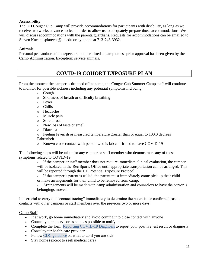#### **Accessibility**

The UH Cougar Cup Camp will provide accommodations for participants with disability, as long as we receive two weeks advance notice in order to allow us to adequately prepare those accommodations. We will discuss accommodations with the parents/guardians. Requests for accommodations can be emailed to Steven Knecht spknecht@uh.edu or by phone at 713-743-3932.

#### **Animals**

Personal pets and/or animals/pets are not permitted at camp unless prior approval has been given by the Camp Administration. Exception: service animals.

# **COVID-19 COHORT EXPOSURE PLAN**

From the moment the camper is dropped off at camp, the Cougar Cub Summer Camp staff will continue to monitor for possible sickness including any potential symptoms including:

- o Cough
- o Shortness of breath or difficulty breathing
- o Fever
- o Chills
- o Headache
- o Muscle pain
- o Sore throat
- o New loss of taste or smell
- o Diarrhea
- o Feeling feverish or measured temperature greater than or equal to 100.0 degrees Fahrenheit
- o Known close contact with person who is lab confirmed to have COVID-19

The following steps will be taken for any camper or staff member who demonstrates any of these symptoms related to COVID-19

> o If the camper or staff member does not require immediate clinical evaluation, the camper will be isolated in the Rec Sports Office until appropriate transportation can be arranged. This will be reported through the UH Potential Exposure Protocol.

o If the camper's parent is called, the parent must immediately come pick up their child or make arrangements for their child to be removed from camp.

o Arrangements will be made with camp administration and counselors to have the person's belongings moved.

It is crucial to carry out "contact tracing" immediately to determine the potential or confirmed case's contacts with other campers or staff members over the previous two or more days.

#### Camp Staff

- If at work, go home immediately and avoid coming into close contact with anyone
- Contact your supervisor as soon as possible to notify them
- Complete the form Reporting COVID-19 Diagnosis to report your positive test result or diagnosis
- Consult your health care provider
- Follow CDC guidance on what to do if you are sick
- Stay home (except to seek medical care)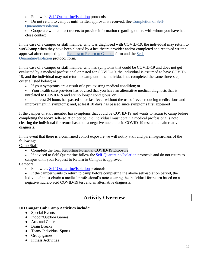- Follow the Self-Quarantine/Isolation protocols
- Do not return to campus until written approval is received. See Completion of Self-
- [Quarantine/Isolation.](https://www.uh.edu/covid-19/guidelines-protocols/completion-of-self-quarantine-isolation/)
- Cooperate with contact tracers to provide information regarding others with whom you have had close contact

In the case of a camper or staff member who was diagnosed with COVID-19, the individual may return to work/camp when they have been cleared by a healthcare provider and/or completed and received written approval after completing the [Request to Return to Campus](https://veoci.com/v/p/form/t2v2v5wkpweq?c=124640) form and the [Self-](https://www.uh.edu/covid-19/guidelines-protocols/completion-of-self-quarantine-isolation/)[Quarantine/Isolation](https://www.uh.edu/covid-19/guidelines-protocols/completion-of-self-quarantine-isolation/) protocol form.

In the case of a camper or staff member who has symptoms that could be COVID-19 and does not get evaluated by a medical professional or tested for COVID-19, the individual is assumed to have COVID-19, and the individual may not return to camp until the individual has completed the same three-step criteria listed below; or

- If your symptoms are a result of a pre-existing medical condition; or
- Your health care provider has advised that you have an alternative medical diagnosis that is unrelated to COVID-19 and are no longer contagious; or
- If at least 24 hours has passed since last fever without the use of fever-reducing medications and improvement in symptoms; and, at least 10 days has passed since symptoms first appeared

If the camper or staff member has symptoms that could be COVID-19 and wants to return to camp before completing the above self-isolation period, the individual must obtain a medical professional's note clearing the individual for return based on a negative nucleic-acid COVID-19 test and an alternative diagnosis.

In the event that there is a confirmed cohort exposure we will notify staff and parents/guardians of the following: 

Camp Staff

- Complete the form [Reporting Potential COVID-19 Exposure](https://veoci.com/v/p/form/3vs2tkw3m9uj?c=124640)
- If advised to Self-Quarantine follow the Self-Quarantine/Isolation protocols and do not return to campus until your Request to Return to Campus is approved.

## **Campers**

- Follow the **Self-Quarantine/Isolation** protocols
- If the camper wants to return to camp before completing the above self-isolation period, the individual must obtain a medical professional's note clearing the individual for return based on a negative nucleic-acid COVID-19 test and an alternative diagnosis.

# **Activity Overview**

## **UH Cougar Cub Camp Activities include:**

- Special Events
- Indoor/Outdoor Games
- Arts and Crafts
- Brain Breaks
- Team/ Individual Sports
- Group games
- Fitness Activities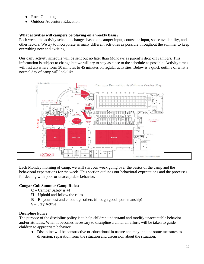- Rock Climbing
- Outdoor Adventure Education

## **What activities will campers be playing on a weekly basis?**

Each week, the activity schedule changes based on camper input, counselor input, space availability, and other factors. We try to incorporate as many different activities as possible throughout the summer to keep everything new and exciting.

Our daily activity schedule will be sent out no later than Mondays as parent's drop off campers. This information is subject to change but we will try to stay as close to the schedule as possible. Activity times will last anywhere form 30 minutes to 45 minutes on regular activities. Below is a quick outline of what a normal day of camp will look like.



Each Monday morning of camp, we will start our week going over the basics of the camp and the behavioral expectations for the week. This section outlines our behavioral expectations and the processes for dealing with poor or unacceptable behavior.

## **Cougar Cub Summer Camp Rules:**

- **C**  Camper Safety is #1
- $U$  Uphold and follow the rules
- **B**  Be your best and encourage others (through good sportsmanship)
- **S**  Stay Active

## **Discipline Policy**

The purpose of the discipline policy is to help children understand and modify unacceptable behavior and/or attitudes. When it becomes necessary to discipline a child, all efforts will be taken to guide children to appropriate behavior.

● Discipline will be constructive or educational in nature and may include some measures as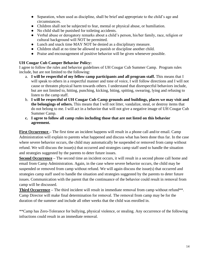- Separation, when used as discipline, shall be brief and appropriate to the child's age and circumstances.
- Children shall not be subjected to fear, mental or physical abuse, or humiliation.
- No child shall be punished for toileting accidents.
- Verbal abuse or derogatory remarks about a child's person, his/her family, race, religion or cultural background will NOT be permitted.
- Lunch and snack time MAY NOT be denied as a disciplinary measure.
- Children shall at no time be allowed to punish or discipline another child.
- Praise and encouragement of positive behavior will be given whenever possible.

## **UH Cougar Cub Camper Behavior Policy:**

I agree to follow the rules and behavior guidelines of UH Cougar Cub Summer Camp. Program rules include, but are not limited to the following:

- a. **I will be respectful of my fellow camp participants and all program staff.** This means that I will speak to others in a respectful manner and tone of voice, I will follow directions and I will not cause or threaten physical harm towards others. I understand that disrespectful behaviors include, but are not limited to, hitting, punching, kicking, biting, spitting, swearing, lying and refusing to listen to the camp staff.
- b. **I will be respectful of UH Cougar Cub Camp grounds and buildings, places we may visit and the belongings of others.** This means that I will not litter, vandalize, steal, or destroy items that do not belong to me. I will act in a behavior that will not give a negative image of UH Cougar Cub Summer Camp.
- **c. I agree to follow all camp rules including those that are not listed on this behavior agreement.**

**First Occurrence –** The first time an incident happens will result in a phone call and/or email. Camp Administration will explain to parents what happened and discuss what has been done thus far. In the case where severe behavior occurs, the child may automatically be suspended or removed from camp without refund. We will discuss the issue(s) that occurred and strategies camp staff used to handle the situation and strategies suggested by the parents to deter future issues.

**Second Occurrence** – The second time an incident occurs, it will result in a second phone call home and email from Camp Administration. Again, in the case where severe behavior occurs, the child may be suspended or removed from camp without refund. We will again discuss the issue(s) that occurred and strategies camp staff used to handle the situation and strategies suggested by the parents to deter future issues. Communication with the parent that the continuance of the behavior could result in removal from camp will be discussed.

**Third Occurrence** – The third incident will result in immediate removal from camp without refund\*\*. Camp Director will make final determination for removal. The removal from camp may be for the duration of the summer and include all other weeks that the child was enrolled in.

\*\*Camp has Zero-Tolerance for bullying, physical violence, or stealing. Any occurrence of the following infractions could result in an immediate removal.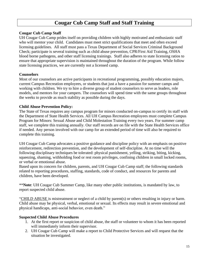# **Cougar Cub Camp Staff and Staff Training**

#### **Cougar Cub Camp Staff**

UH Cougar Cub Camp prides itself on providing children with highly motivated and enthusiastic staff who will mentor your child. Candidates must meet strict qualifications that meet and often exceed licensing guidelines. All staff must pass a Texas Department of Social Services Criminal Background Check; participate is several training such as child abuse prevention, CPR/First Aid Training, OSHA blood borne pathogens, and other staff licensing trainings. Staff also adheres to state licensing ratios to ensure that appropriate supervision is maintained throughout the duration of the program. While follow state licensing practices, we are currently not a licensed camp.

#### **Counselors**

Most of our counselors are active participants in recreational programming, possibly education majors, current Campus Recreation employees, or students that just a have a passion for summer camps and working with children. We try to hire a diverse group of student counselors to serve as leaders, role models, and mentors for your campers. The counselors will spend time with the same groups throughout the weeks to provide as much stability as possible during the days.

#### **Child Abuse Prevention Policy:**

The State of Texas requires any campus program for minors conducted on-campus to certify its staff with the Department of State Health Services. All UH Campus Recreation employees must complete Campus Program for Minors: Sexual Abuse and Child Molestation Training every two years. For summer camp staff, we complete this training annually. Our staff records are on file with the State Health Services office if needed. Any person involved with our camp for an extended period of time will also be required to complete this training.

UH Cougar Cub Camp advocates a positive guidance and discipline policy with an emphasis on positive reinforcement, redirection prevention, and the development of self-discipline. At no time will the following disciplinary techniques be tolerated: physical punishment, yelling, striking, biting, kicking, squeezing, shaming, withholding food or rest room privileges, confining children in small locked rooms, or verbal or emotional abuse.

Based upon its concern for children, parents, and UH Cougar Cub Camp staff; the following standards related to reporting procedures, staffing, standards, code of conduct, and resources for parents and children, have been developed.

\*\***Note**: UH Cougar Cub Summer Camp, like many other public institutions, is mandated by law, to report suspected child abuse.

"CHILD ABUSE is mistreatment or neglect of a child by parent(s) or others resulting in injury or harm. Child abuse may be physical, verbal, emotional or sexual. Its effects may result in severe emotional and physical handicaps, anti-social behavior, even death."

#### **Suspected Child Abuse Procedures**

- 1. At the first report or suspicion of child abuse, the staff or volunteer to whom it has been reported will immediately inform their supervisor.
- 2. UH Cougar Cub Camp will make a report to Child Protective Services and will request that the situation be investigated.